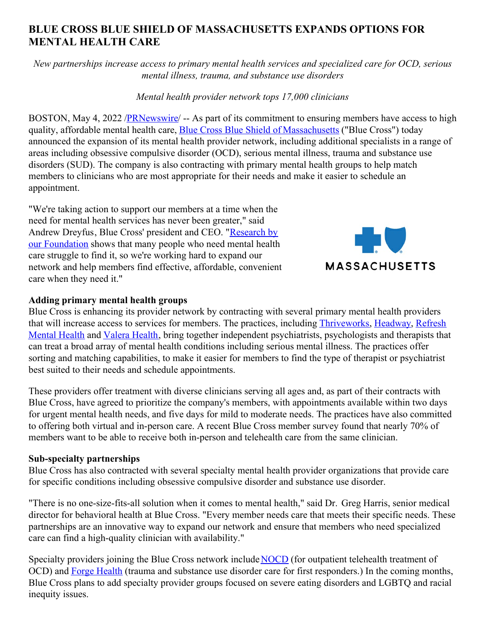# **BLUE CROSS BLUE SHIELD OF MASSACHUSETTS EXPANDS OPTIONS FOR MENTAL HEALTH CARE**

*New partnerships increase access to primary mental health services and specialized care for OCD, serious mental illness, trauma, and substance use disorders*

#### *Mental health provider network tops 17,000 clinicians*

BOSTON, May 4, 2022 [/PRNewswire](http://www.prnewswire.com/)/ -- As part of its commitment to ensuring members have access to high quality, affordable mental health care, **Blue Cross Blue Shield of [Massachusetts](https://c212.net/c/link/?t=0&l=en&o=3524903-1&h=564363945&u=http%3A%2F%2Fwww.bluecrossma.org%2F&a=Blue+Cross+Blue+Shield+of+Massachusetts)** ("Blue Cross") today announced the expansion of its mental health provider network, including additional specialists in a range of areas including obsessive compulsive disorder (OCD), serious mental illness, trauma and substance use disorders (SUD). The company is also contracting with primary mental health groups to help match members to clinicians who are most appropriate for their needs and make it easier to schedule an appointment.

"We're taking action to support our members at a time when the need for mental health services has never been greater," said Andrew Dreyfus, Blue Cross' president and CEO. "Research by our [Foundation](https://c212.net/c/link/?t=0&l=en&o=3524903-1&h=535423640&u=https%3A%2F%2Fwww.bluecrossmafoundation.org%2Fpublication%2Fbehavioral-health-during-first-year-covid-19-pandemic-update-need-and-access-0&a=Research+by+our+Foundation) shows that many people who need mental health care struggle to find it, so we're working hard to expand our network and help members find effective, affordable, convenient care when they need it."



#### **Adding primary mental health groups**

Blue Cross is enhancing its provider network by contracting with several primary mental health providers that will increase access to services for members. The practices, including [Thriveworks](https://c212.net/c/link/?t=0&l=en&o=3524903-1&h=322341354&u=https%3A%2F%2Fthriveworks.com%2F%3Futm_campaign%3D12082392403%26utm_source%3Dgoogle%26utm_medium%3Dcpc%26utm_adgroup%3D121655073532%26gclid%3DCj0KCQjwuMuRBhCJARIsAHXdnqOxItpOBjXUBUEyayiqPAMKTnIl9jPrXGmuFpTYx3YBnsnq6Ady9TgaAm9nEALw_wcB%26gclid%3DCj0KCQjwuMuRBhCJARIsAHXdnqOxItpOBjXUBUEyayiqPAMKTnIl9jPrXGmuFpTYx3YBnsnq6Ady9TgaAm9nEALw_wcB&a=Thriveworks), [Headway](https://c212.net/c/link/?t=0&l=en&o=3524903-1&h=3385592201&u=https%3A%2F%2Fheadway.co%2F%3Futm_campaign%3Dbrand%26utm_medium%3Dsem%26utm_source%3Dgoogle%26utm_content%3Dheadway%26gclid%3DCj0KCQjwuMuRBhCJARIsAHXdnqM1XoMTRbvC4RpMTgqahzcoViVQDH9M-VRFbX8VWB3YPhzPn_vfwwMaAmJkEALw_wcB&a=Headway), Refresh Mental Health and [Valera](https://c212.net/c/link/?t=0&l=en&o=3524903-1&h=1781549040&u=https%3A%2F%2Fwww.valerahealth.com%2Fconsult%2F&a=Valera+Health) Health, bring together independent psychiatrists, [psychologists](https://c212.net/c/link/?t=0&l=en&o=3524903-1&h=967710267&u=https%3A%2F%2Fwww.refreshmentalhealth.com%2F&a=Refresh+Mental+Health) and therapists that can treat a broad array of mental health conditions including serious mental illness. The practices offer sorting and matching capabilities, to make it easier for members to find the type of therapist or psychiatrist best suited to their needs and schedule appointments.

These providers offer treatment with diverse clinicians serving all ages and, as part of their contracts with Blue Cross, have agreed to prioritize the company's members, with appointments available within two days for urgent mental health needs, and five days for mild to moderate needs. The practices have also committed to offering both virtual and in-person care. A recent Blue Cross member survey found that nearly 70% of members want to be able to receive both in-person and telehealth care from the same clinician.

#### **Sub-specialty partnerships**

Blue Cross has also contracted with several specialty mental health provider organizations that provide care for specific conditions including obsessive compulsive disorder and substance use disorder.

"There is no one-size-fits-all solution when it comes to mental health," said Dr. Greg Harris, senior medical director for behavioral health at Blue Cross. "Every member needs care that meets their specific needs. These partnerships are an innovative way to expand our network and ensure that members who need specialized care can find a high-quality clinician with availability."

Specialty providers joining the Blue Cross network include [NOCD](https://c212.net/c/link/?t=0&l=en&o=3524903-1&h=3737260745&u=https%3A%2F%2Fwww.treatmyocd.com%2Ftherapy_signup%3Futm_source%3Dgoogle_ads%26utm_medium%3Dppc%26utm_campaign%3D12663844044%26utm_adgroup%3D123244610147%26utm_term%3Dnocd%26gclid%3DCj0KCQjwuMuRBhCJARIsAHXdnqNK3GEnEFZndzSGvKn8I5CzeIiVuc1jfmZzVtbsZS-T09uNrFMItJwaAqp1EALw_wcB&a=NOCD) (for outpatient telehealth treatment of OCD) and Forge [Health](https://c212.net/c/link/?t=0&l=en&o=3524903-1&h=2655150524&u=https%3A%2F%2Fforgehealth.com%2F&a=Forge+Health) (trauma and substance use disorder care for first responders.) In the coming months, Blue Cross plans to add specialty provider groups focused on severe eating disorders and LGBTQ and racial inequity issues.